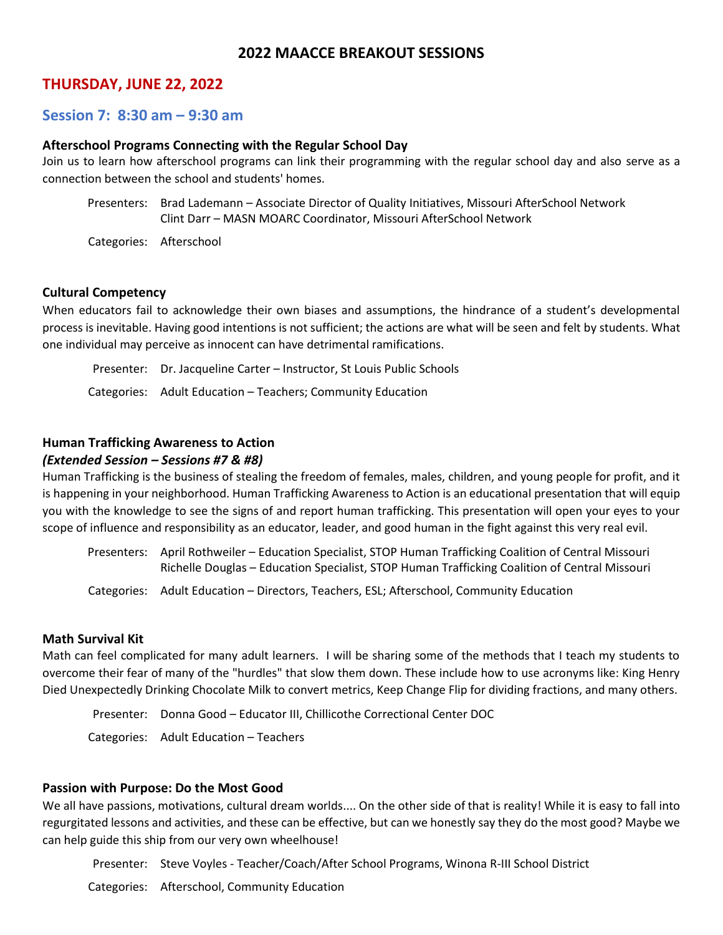## **2022 MAACCE BREAKOUT SESSIONS**

## **THURSDAY, JUNE 22, 2022**

## **Session 7: 8:30 am – 9:30 am**

#### **Afterschool Programs Connecting with the Regular School Day**

Join us to learn how afterschool programs can link their programming with the regular school day and also serve as a connection between the school and students' homes.

Presenters: Brad Lademann – Associate Director of Quality Initiatives, Missouri AfterSchool Network Clint Darr – MASN MOARC Coordinator, Missouri AfterSchool Network

Categories: Afterschool

#### **Cultural Competency**

When educators fail to acknowledge their own biases and assumptions, the hindrance of a student's developmental process is inevitable. Having good intentions is not sufficient; the actions are what will be seen and felt by students. What one individual may perceive as innocent can have detrimental ramifications.

Presenter: Dr. Jacqueline Carter – Instructor, St Louis Public Schools Categories: Adult Education – Teachers; Community Education

### **Human Trafficking Awareness to Action**

#### *(Extended Session – Sessions #7 & #8)*

Human Trafficking is the business of stealing the freedom of females, males, children, and young people for profit, and it is happening in your neighborhood. Human Trafficking Awareness to Action is an educational presentation that will equip you with the knowledge to see the signs of and report human trafficking. This presentation will open your eyes to your scope of influence and responsibility as an educator, leader, and good human in the fight against this very real evil.

Presenters: April Rothweiler – Education Specialist, STOP Human Trafficking Coalition of Central Missouri Richelle Douglas – Education Specialist, STOP Human Trafficking Coalition of Central Missouri

Categories: Adult Education – Directors, Teachers, ESL; Afterschool, Community Education

#### **Math Survival Kit**

Math can feel complicated for many adult learners. I will be sharing some of the methods that I teach my students to overcome their fear of many of the "hurdles" that slow them down. These include how to use acronyms like: King Henry Died Unexpectedly Drinking Chocolate Milk to convert metrics, Keep Change Flip for dividing fractions, and many others.

Presenter: Donna Good – Educator III, Chillicothe Correctional Center DOC

Categories: Adult Education – Teachers

#### **Passion with Purpose: Do the Most Good**

We all have passions, motivations, cultural dream worlds.... On the other side of that is reality! While it is easy to fall into regurgitated lessons and activities, and these can be effective, but can we honestly say they do the most good? Maybe we can help guide this ship from our very own wheelhouse!

Presenter: Steve Voyles - Teacher/Coach/After School Programs, Winona R-III School District

Categories: Afterschool, Community Education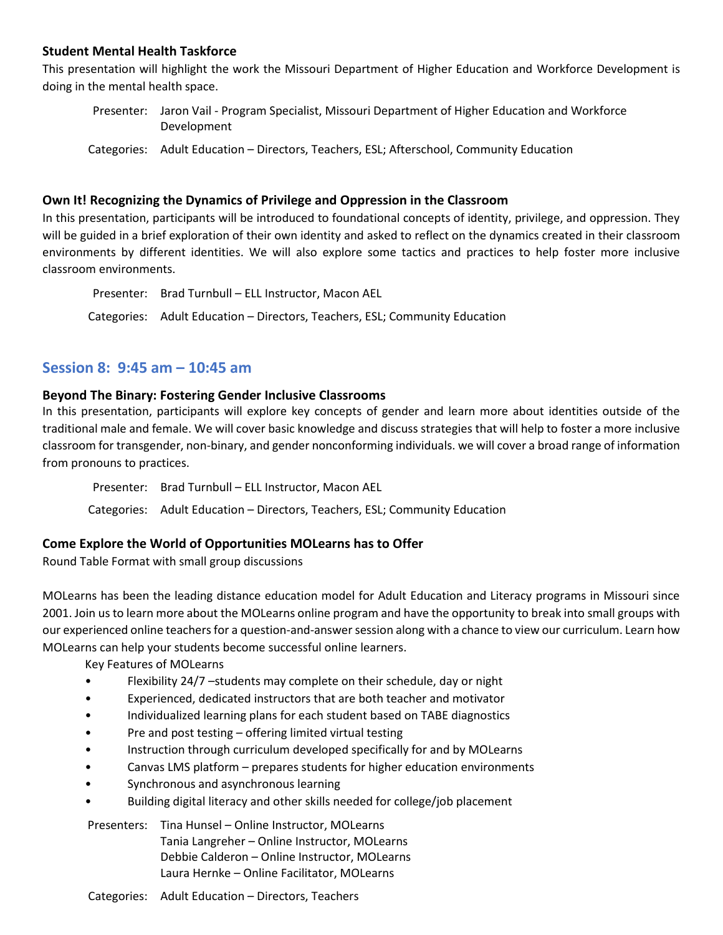## **Student Mental Health Taskforce**

This presentation will highlight the work the Missouri Department of Higher Education and Workforce Development is doing in the mental health space.

Presenter: Jaron Vail - Program Specialist, Missouri Department of Higher Education and Workforce Development

Categories: Adult Education – Directors, Teachers, ESL; Afterschool, Community Education

### **Own It! Recognizing the Dynamics of Privilege and Oppression in the Classroom**

In this presentation, participants will be introduced to foundational concepts of identity, privilege, and oppression. They will be guided in a brief exploration of their own identity and asked to reflect on the dynamics created in their classroom environments by different identities. We will also explore some tactics and practices to help foster more inclusive classroom environments.

```
Presenter: Brad Turnbull – ELL Instructor, Macon AEL
Categories: Adult Education – Directors, Teachers, ESL; Community Education
```
## **Session 8: 9:45 am – 10:45 am**

### **Beyond The Binary: Fostering Gender Inclusive Classrooms**

In this presentation, participants will explore key concepts of gender and learn more about identities outside of the traditional male and female. We will cover basic knowledge and discuss strategies that will help to foster a more inclusive classroom for transgender, non-binary, and gender nonconforming individuals. we will cover a broad range of information from pronouns to practices.

Presenter: Brad Turnbull – ELL Instructor, Macon AEL

Categories: Adult Education – Directors, Teachers, ESL; Community Education

## **Come Explore the World of Opportunities MOLearns has to Offer**

Round Table Format with small group discussions

MOLearns has been the leading distance education model for Adult Education and Literacy programs in Missouri since 2001. Join us to learn more about the MOLearns online program and have the opportunity to break into small groups with our experienced online teachers for a question-and-answersession along with a chance to view our curriculum. Learn how MOLearns can help your students become successful online learners.

Key Features of MOLearns

- Flexibility 24/7 –students may complete on their schedule, day or night
- Experienced, dedicated instructors that are both teacher and motivator
- Individualized learning plans for each student based on TABE diagnostics
- Pre and post testing offering limited virtual testing
- Instruction through curriculum developed specifically for and by MOLearns
- Canvas LMS platform prepares students for higher education environments
- Synchronous and asynchronous learning
- Building digital literacy and other skills needed for college/job placement

Presenters: Tina Hunsel – Online Instructor, MOLearns Tania Langreher – Online Instructor, MOLearns Debbie Calderon – Online Instructor, MOLearns Laura Hernke – Online Facilitator, MOLearns

Categories: Adult Education – Directors, Teachers